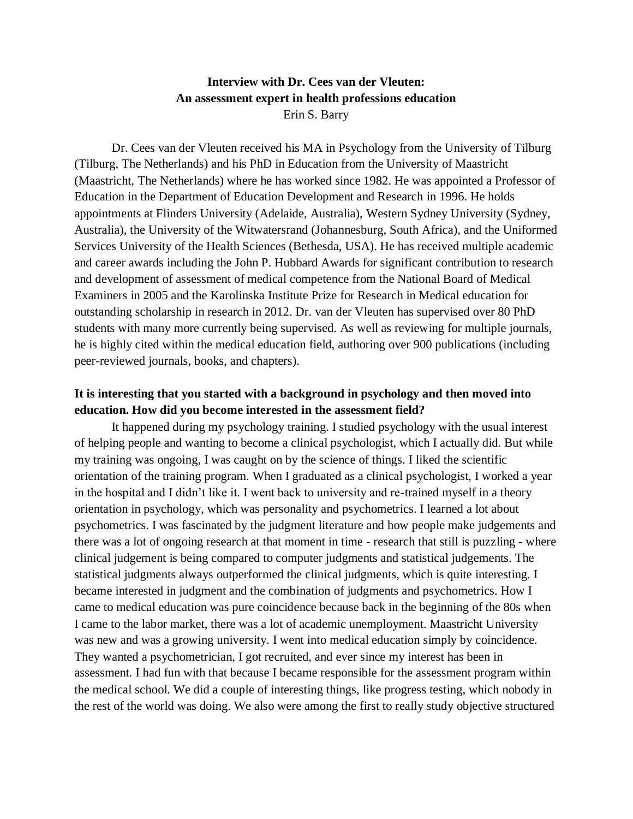# **Interview with Dr. Cees van der Vleuten: An assessment expert in health professions education** Erin S. Barry

Dr. Cees van der Vleuten received his MA in Psychology from the University of Tilburg (Tilburg, The Netherlands) and his PhD in Education from the University of Maastricht (Maastricht, The Netherlands) where he has worked since 1982. He was appointed a Professor of Education in the Department of Education Development and Research in 1996. He holds appointments at Flinders University (Adelaide, Australia), Western Sydney University (Sydney, Australia), the University of the Witwatersrand (Johannesburg, South Africa), and the Uniformed Services University of the Health Sciences (Bethesda, USA). He has received multiple academic and career awards including the John P. Hubbard Awards for significant contribution to research and development of assessment of medical competence from the National Board of Medical Examiners in 2005 and the Karolinska Institute Prize for Research in Medical education for outstanding scholarship in research in 2012. Dr. van der Vleuten has supervised over 80 PhD students with many more currently being supervised. As well as reviewing for multiple journals, he is highly cited within the medical education field, authoring over 900 publications (including peer-reviewed journals, books, and chapters).

## **It is interesting that you started with a background in psychology and then moved into education. How did you become interested in the assessment field?**

It happened during my psychology training. I studied psychology with the usual interest of helping people and wanting to become a clinical psychologist, which I actually did. But while my training was ongoing, I was caught on by the science of things. I liked the scientific orientation of the training program. When I graduated as a clinical psychologist, I worked a year in the hospital and I didn't like it. I went back to university and re-trained myself in a theory orientation in psychology, which was personality and psychometrics. I learned a lot about psychometrics. I was fascinated by the judgment literature and how people make judgements and there was a lot of ongoing research at that moment in time - research that still is puzzling - where clinical judgement is being compared to computer judgments and statistical judgements. The statistical judgments always outperformed the clinical judgments, which is quite interesting. I became interested in judgment and the combination of judgments and psychometrics. How I came to medical education was pure coincidence because back in the beginning of the 80s when I came to the labor market, there was a lot of academic unemployment. Maastricht University was new and was a growing university. I went into medical education simply by coincidence. They wanted a psychometrician, I got recruited, and ever since my interest has been in assessment. I had fun with that because I became responsible for the assessment program within the medical school. We did a couple of interesting things, like progress testing, which nobody in the rest of the world was doing. We also were among the first to really study objective structured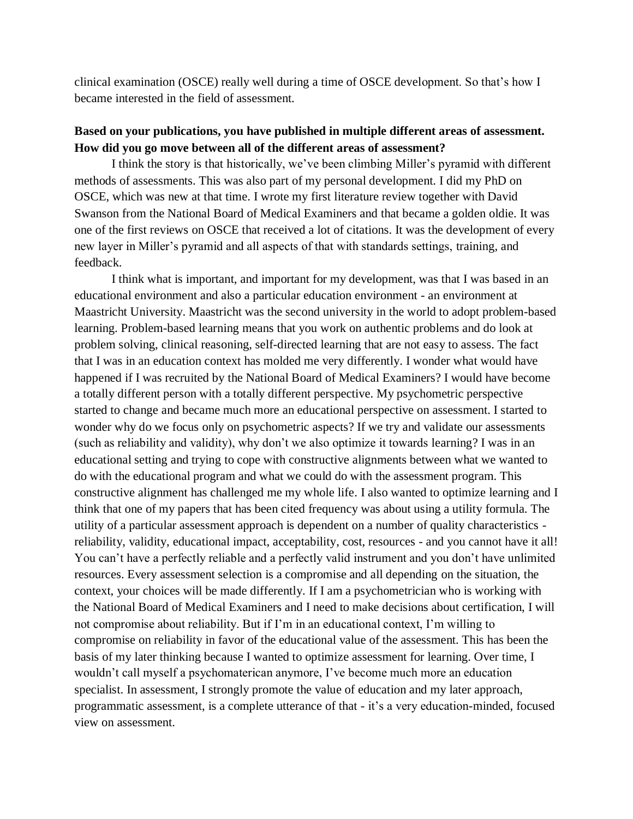clinical examination (OSCE) really well during a time of OSCE development. So that's how I became interested in the field of assessment.

## **Based on your publications, you have published in multiple different areas of assessment. How did you go move between all of the different areas of assessment?**

I think the story is that historically, we've been climbing Miller's pyramid with different methods of assessments. This was also part of my personal development. I did my PhD on OSCE, which was new at that time. I wrote my first literature review together with David Swanson from the National Board of Medical Examiners and that became a golden oldie. It was one of the first reviews on OSCE that received a lot of citations. It was the development of every new layer in Miller's pyramid and all aspects of that with standards settings, training, and feedback.

I think what is important, and important for my development, was that I was based in an educational environment and also a particular education environment - an environment at Maastricht University. Maastricht was the second university in the world to adopt problem-based learning. Problem-based learning means that you work on authentic problems and do look at problem solving, clinical reasoning, self-directed learning that are not easy to assess. The fact that I was in an education context has molded me very differently. I wonder what would have happened if I was recruited by the National Board of Medical Examiners? I would have become a totally different person with a totally different perspective. My psychometric perspective started to change and became much more an educational perspective on assessment. I started to wonder why do we focus only on psychometric aspects? If we try and validate our assessments (such as reliability and validity), why don't we also optimize it towards learning? I was in an educational setting and trying to cope with constructive alignments between what we wanted to do with the educational program and what we could do with the assessment program. This constructive alignment has challenged me my whole life. I also wanted to optimize learning and I think that one of my papers that has been cited frequency was about using a utility formula. The utility of a particular assessment approach is dependent on a number of quality characteristics reliability, validity, educational impact, acceptability, cost, resources - and you cannot have it all! You can't have a perfectly reliable and a perfectly valid instrument and you don't have unlimited resources. Every assessment selection is a compromise and all depending on the situation, the context, your choices will be made differently. If I am a psychometrician who is working with the National Board of Medical Examiners and I need to make decisions about certification, I will not compromise about reliability. But if I'm in an educational context, I'm willing to compromise on reliability in favor of the educational value of the assessment. This has been the basis of my later thinking because I wanted to optimize assessment for learning. Over time, I wouldn't call myself a psychomaterican anymore, I've become much more an education specialist. In assessment, I strongly promote the value of education and my later approach, programmatic assessment, is a complete utterance of that - it's a very education-minded, focused view on assessment.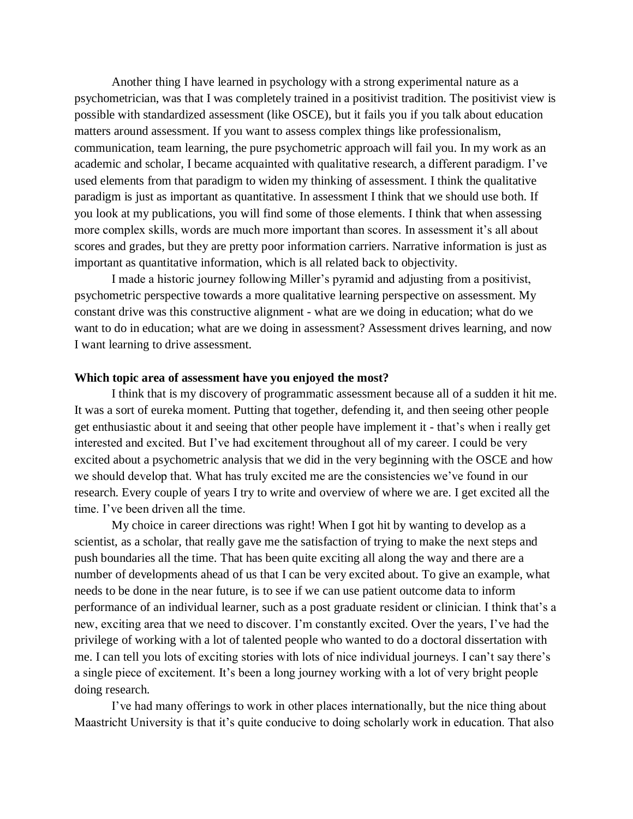Another thing I have learned in psychology with a strong experimental nature as a psychometrician, was that I was completely trained in a positivist tradition. The positivist view is possible with standardized assessment (like OSCE), but it fails you if you talk about education matters around assessment. If you want to assess complex things like professionalism, communication, team learning, the pure psychometric approach will fail you. In my work as an academic and scholar, I became acquainted with qualitative research, a different paradigm. I've used elements from that paradigm to widen my thinking of assessment. I think the qualitative paradigm is just as important as quantitative. In assessment I think that we should use both. If you look at my publications, you will find some of those elements. I think that when assessing more complex skills, words are much more important than scores. In assessment it's all about scores and grades, but they are pretty poor information carriers. Narrative information is just as important as quantitative information, which is all related back to objectivity.

I made a historic journey following Miller's pyramid and adjusting from a positivist, psychometric perspective towards a more qualitative learning perspective on assessment. My constant drive was this constructive alignment - what are we doing in education; what do we want to do in education; what are we doing in assessment? Assessment drives learning, and now I want learning to drive assessment.

#### **Which topic area of assessment have you enjoyed the most?**

I think that is my discovery of programmatic assessment because all of a sudden it hit me. It was a sort of eureka moment. Putting that together, defending it, and then seeing other people get enthusiastic about it and seeing that other people have implement it - that's when i really get interested and excited. But I've had excitement throughout all of my career. I could be very excited about a psychometric analysis that we did in the very beginning with the OSCE and how we should develop that. What has truly excited me are the consistencies we've found in our research. Every couple of years I try to write and overview of where we are. I get excited all the time. I've been driven all the time.

My choice in career directions was right! When I got hit by wanting to develop as a scientist, as a scholar, that really gave me the satisfaction of trying to make the next steps and push boundaries all the time. That has been quite exciting all along the way and there are a number of developments ahead of us that I can be very excited about. To give an example, what needs to be done in the near future, is to see if we can use patient outcome data to inform performance of an individual learner, such as a post graduate resident or clinician. I think that's a new, exciting area that we need to discover. I'm constantly excited. Over the years, I've had the privilege of working with a lot of talented people who wanted to do a doctoral dissertation with me. I can tell you lots of exciting stories with lots of nice individual journeys. I can't say there's a single piece of excitement. It's been a long journey working with a lot of very bright people doing research.

I've had many offerings to work in other places internationally, but the nice thing about Maastricht University is that it's quite conducive to doing scholarly work in education. That also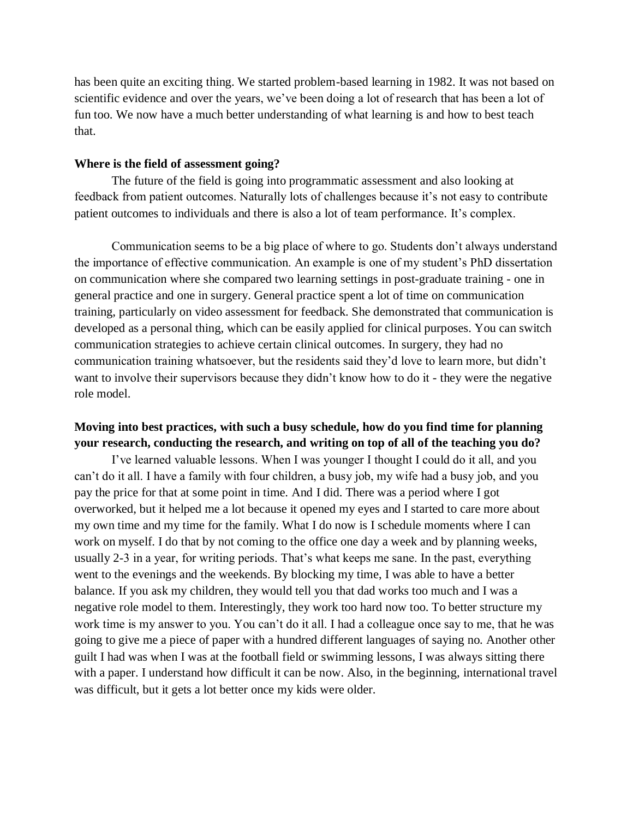has been quite an exciting thing. We started problem-based learning in 1982. It was not based on scientific evidence and over the years, we've been doing a lot of research that has been a lot of fun too. We now have a much better understanding of what learning is and how to best teach that.

#### **Where is the field of assessment going?**

The future of the field is going into programmatic assessment and also looking at feedback from patient outcomes. Naturally lots of challenges because it's not easy to contribute patient outcomes to individuals and there is also a lot of team performance. It's complex.

Communication seems to be a big place of where to go. Students don't always understand the importance of effective communication. An example is one of my student's PhD dissertation on communication where she compared two learning settings in post-graduate training - one in general practice and one in surgery. General practice spent a lot of time on communication training, particularly on video assessment for feedback. She demonstrated that communication is developed as a personal thing, which can be easily applied for clinical purposes. You can switch communication strategies to achieve certain clinical outcomes. In surgery, they had no communication training whatsoever, but the residents said they'd love to learn more, but didn't want to involve their supervisors because they didn't know how to do it - they were the negative role model.

## **Moving into best practices, with such a busy schedule, how do you find time for planning your research, conducting the research, and writing on top of all of the teaching you do?**

I've learned valuable lessons. When I was younger I thought I could do it all, and you can't do it all. I have a family with four children, a busy job, my wife had a busy job, and you pay the price for that at some point in time. And I did. There was a period where I got overworked, but it helped me a lot because it opened my eyes and I started to care more about my own time and my time for the family. What I do now is I schedule moments where I can work on myself. I do that by not coming to the office one day a week and by planning weeks, usually 2-3 in a year, for writing periods. That's what keeps me sane. In the past, everything went to the evenings and the weekends. By blocking my time, I was able to have a better balance. If you ask my children, they would tell you that dad works too much and I was a negative role model to them. Interestingly, they work too hard now too. To better structure my work time is my answer to you. You can't do it all. I had a colleague once say to me, that he was going to give me a piece of paper with a hundred different languages of saying no. Another other guilt I had was when I was at the football field or swimming lessons, I was always sitting there with a paper. I understand how difficult it can be now. Also, in the beginning, international travel was difficult, but it gets a lot better once my kids were older.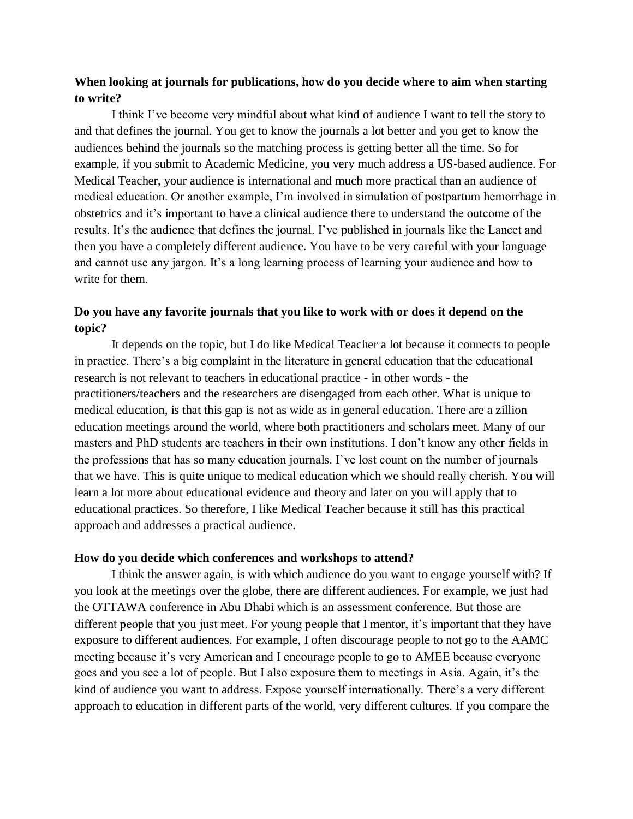### **When looking at journals for publications, how do you decide where to aim when starting to write?**

I think I've become very mindful about what kind of audience I want to tell the story to and that defines the journal. You get to know the journals a lot better and you get to know the audiences behind the journals so the matching process is getting better all the time. So for example, if you submit to Academic Medicine, you very much address a US-based audience. For Medical Teacher, your audience is international and much more practical than an audience of medical education. Or another example, I'm involved in simulation of postpartum hemorrhage in obstetrics and it's important to have a clinical audience there to understand the outcome of the results. It's the audience that defines the journal. I've published in journals like the Lancet and then you have a completely different audience. You have to be very careful with your language and cannot use any jargon. It's a long learning process of learning your audience and how to write for them.

## **Do you have any favorite journals that you like to work with or does it depend on the topic?**

It depends on the topic, but I do like Medical Teacher a lot because it connects to people in practice. There's a big complaint in the literature in general education that the educational research is not relevant to teachers in educational practice - in other words - the practitioners/teachers and the researchers are disengaged from each other. What is unique to medical education, is that this gap is not as wide as in general education. There are a zillion education meetings around the world, where both practitioners and scholars meet. Many of our masters and PhD students are teachers in their own institutions. I don't know any other fields in the professions that has so many education journals. I've lost count on the number of journals that we have. This is quite unique to medical education which we should really cherish. You will learn a lot more about educational evidence and theory and later on you will apply that to educational practices. So therefore, I like Medical Teacher because it still has this practical approach and addresses a practical audience.

#### **How do you decide which conferences and workshops to attend?**

I think the answer again, is with which audience do you want to engage yourself with? If you look at the meetings over the globe, there are different audiences. For example, we just had the OTTAWA conference in Abu Dhabi which is an assessment conference. But those are different people that you just meet. For young people that I mentor, it's important that they have exposure to different audiences. For example, I often discourage people to not go to the AAMC meeting because it's very American and I encourage people to go to AMEE because everyone goes and you see a lot of people. But I also exposure them to meetings in Asia. Again, it's the kind of audience you want to address. Expose yourself internationally. There's a very different approach to education in different parts of the world, very different cultures. If you compare the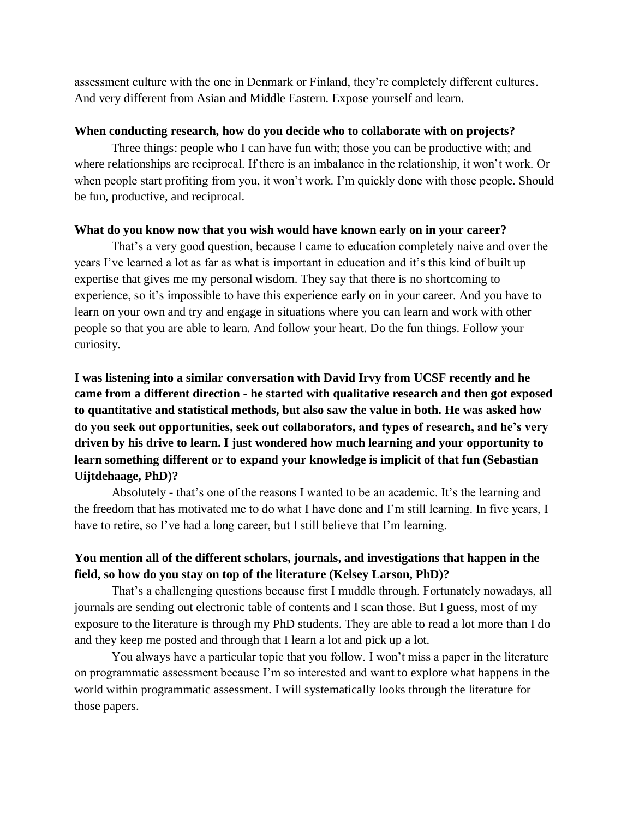assessment culture with the one in Denmark or Finland, they're completely different cultures. And very different from Asian and Middle Eastern. Expose yourself and learn.

#### **When conducting research, how do you decide who to collaborate with on projects?**

Three things: people who I can have fun with; those you can be productive with; and where relationships are reciprocal. If there is an imbalance in the relationship, it won't work. Or when people start profiting from you, it won't work. I'm quickly done with those people. Should be fun, productive, and reciprocal.

#### **What do you know now that you wish would have known early on in your career?**

That's a very good question, because I came to education completely naive and over the years I've learned a lot as far as what is important in education and it's this kind of built up expertise that gives me my personal wisdom. They say that there is no shortcoming to experience, so it's impossible to have this experience early on in your career. And you have to learn on your own and try and engage in situations where you can learn and work with other people so that you are able to learn. And follow your heart. Do the fun things. Follow your curiosity.

**I was listening into a similar conversation with David Irvy from UCSF recently and he came from a different direction - he started with qualitative research and then got exposed to quantitative and statistical methods, but also saw the value in both. He was asked how do you seek out opportunities, seek out collaborators, and types of research, and he's very driven by his drive to learn. I just wondered how much learning and your opportunity to learn something different or to expand your knowledge is implicit of that fun (Sebastian Uijtdehaage, PhD)?** 

Absolutely - that's one of the reasons I wanted to be an academic. It's the learning and the freedom that has motivated me to do what I have done and I'm still learning. In five years, I have to retire, so I've had a long career, but I still believe that I'm learning.

# **You mention all of the different scholars, journals, and investigations that happen in the field, so how do you stay on top of the literature (Kelsey Larson, PhD)?**

That's a challenging questions because first I muddle through. Fortunately nowadays, all journals are sending out electronic table of contents and I scan those. But I guess, most of my exposure to the literature is through my PhD students. They are able to read a lot more than I do and they keep me posted and through that I learn a lot and pick up a lot.

You always have a particular topic that you follow. I won't miss a paper in the literature on programmatic assessment because I'm so interested and want to explore what happens in the world within programmatic assessment. I will systematically looks through the literature for those papers.